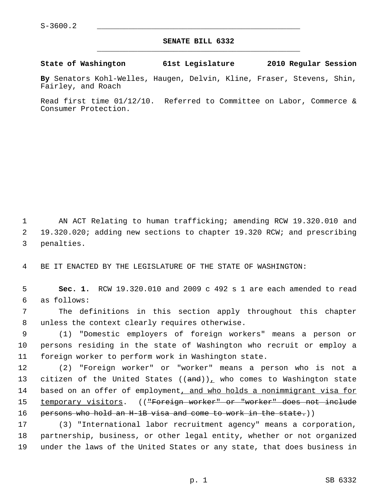## **SENATE BILL 6332** \_\_\_\_\_\_\_\_\_\_\_\_\_\_\_\_\_\_\_\_\_\_\_\_\_\_\_\_\_\_\_\_\_\_\_\_\_\_\_\_\_\_\_\_\_

**State of Washington 61st Legislature 2010 Regular Session**

**By** Senators Kohl-Welles, Haugen, Delvin, Kline, Fraser, Stevens, Shin, Fairley, and Roach

Read first time 01/12/10. Referred to Committee on Labor, Commerce & Consumer Protection.

 1 AN ACT Relating to human trafficking; amending RCW 19.320.010 and 2 19.320.020; adding new sections to chapter 19.320 RCW; and prescribing 3 penalties.

4 BE IT ENACTED BY THE LEGISLATURE OF THE STATE OF WASHINGTON:

 5 **Sec. 1.** RCW 19.320.010 and 2009 c 492 s 1 are each amended to read 6 as follows:

 7 The definitions in this section apply throughout this chapter 8 unless the context clearly requires otherwise.

 9 (1) "Domestic employers of foreign workers" means a person or 10 persons residing in the state of Washington who recruit or employ a 11 foreign worker to perform work in Washington state.

12 (2) "Foreign worker" or "worker" means a person who is not a 13 citizen of the United States  $((and))_L$  who comes to Washington state 14 based on an offer of employment, and who holds a nonimmigrant visa for 15 temporary visitors. ((<del>"Foreign worker" or "worker" does not include</del> 16 persons who hold an H-1B visa and come to work in the state.))

17 (3) "International labor recruitment agency" means a corporation, 18 partnership, business, or other legal entity, whether or not organized 19 under the laws of the United States or any state, that does business in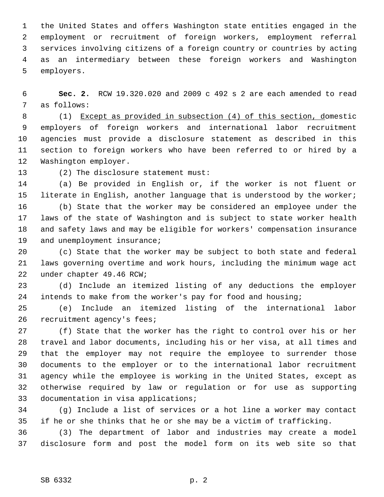1 the United States and offers Washington state entities engaged in the 2 employment or recruitment of foreign workers, employment referral 3 services involving citizens of a foreign country or countries by acting 4 as an intermediary between these foreign workers and Washington 5 employers.

 6 **Sec. 2.** RCW 19.320.020 and 2009 c 492 s 2 are each amended to read 7 as follows:

 8 (1) Except as provided in subsection (4) of this section, domestic 9 employers of foreign workers and international labor recruitment 10 agencies must provide a disclosure statement as described in this 11 section to foreign workers who have been referred to or hired by a 12 Washington employer.

13 (2) The disclosure statement must:

14 (a) Be provided in English or, if the worker is not fluent or 15 literate in English, another language that is understood by the worker;

16 (b) State that the worker may be considered an employee under the 17 laws of the state of Washington and is subject to state worker health 18 and safety laws and may be eligible for workers' compensation insurance 19 and unemployment insurance;

20 (c) State that the worker may be subject to both state and federal 21 laws governing overtime and work hours, including the minimum wage act 22 under chapter 49.46 RCW;

23 (d) Include an itemized listing of any deductions the employer 24 intends to make from the worker's pay for food and housing;

25 (e) Include an itemized listing of the international labor 26 recruitment agency's fees;

27 (f) State that the worker has the right to control over his or her 28 travel and labor documents, including his or her visa, at all times and 29 that the employer may not require the employee to surrender those 30 documents to the employer or to the international labor recruitment 31 agency while the employee is working in the United States, except as 32 otherwise required by law or regulation or for use as supporting 33 documentation in visa applications;

34 (g) Include a list of services or a hot line a worker may contact 35 if he or she thinks that he or she may be a victim of trafficking.

36 (3) The department of labor and industries may create a model 37 disclosure form and post the model form on its web site so that